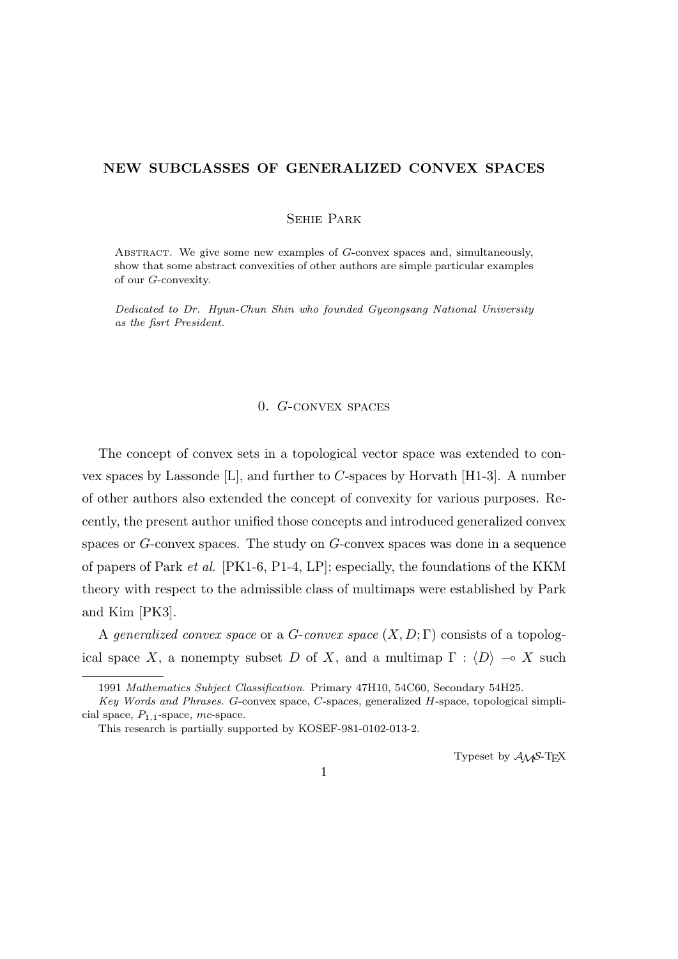# **NEW SUBCLASSES OF GENERALIZED CONVEX SPACES**

Sehie Park

Abstract. We give some new examples of *G*-convex spaces and, simultaneously, show that some abstract convexities of other authors are simple particular examples of our *G*-convexity.

*Dedicated to Dr. Hyun-Chun Shin who founded Gyeongsang National University as the fisrt President.*

# 0. *G*-convex spaces

The concept of convex sets in a topological vector space was extended to convex spaces by Lassonde [L], and further to *C*-spaces by Horvath [H1-3]. A number of other authors also extended the concept of convexity for various purposes. Recently, the present author unified those concepts and introduced generalized convex spaces or *G*-convex spaces. The study on *G*-convex spaces was done in a sequence of papers of Park *et al*. [PK1-6, P1-4, LP]; especially, the foundations of the KKM theory with respect to the admissible class of multimaps were established by Park and Kim [PK3].

A *generalized convex space* or a *G*-*convex space* (*X, D*; Γ) consists of a topological space *X*, a nonempty subset *D* of *X*, and a multimap  $\Gamma : \langle D \rangle \to X$  such

Typeset by  $\mathcal{A}_{\mathcal{M}}\mathcal{S}\text{-}\mathrm{Tr}X$ 

1

<sup>1991</sup> *Mathematics Subject Classification*. Primary 47H10, 54C60, Secondary 54H25.

*Key Words and Phrases*. *G*-convex space, *C*-spaces, generalized *H*-space, topological simplicial space, *P*1*,*1-space, *mc*-space.

This research is partially supported by KOSEF-981-0102-013-2.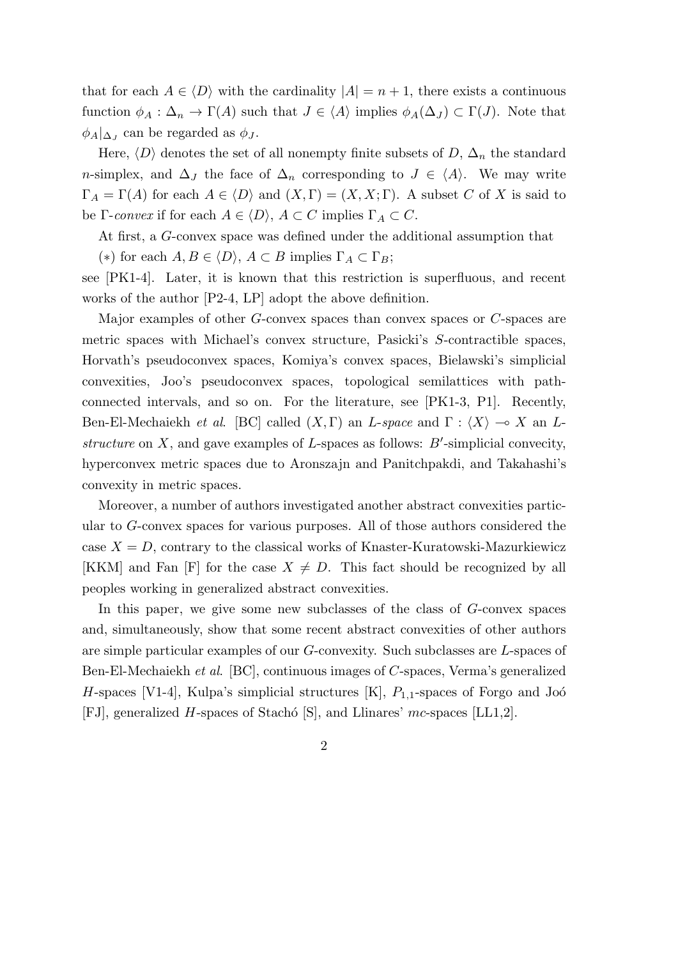that for each  $A \in \langle D \rangle$  with the cardinality  $|A| = n + 1$ , there exists a continuous function  $\phi_A : \Delta_n \to \Gamma(A)$  such that  $J \in \langle A \rangle$  implies  $\phi_A(\Delta_J) \subset \Gamma(J)$ . Note that  $\phi_A|_{\Delta_J}$  can be regarded as  $\phi_J$ .

Here,  $\langle D \rangle$  denotes the set of all nonempty finite subsets of  $D$ ,  $\Delta_n$  the standard *n*-simplex, and  $\Delta_J$  the face of  $\Delta_n$  corresponding to  $J \in \langle A \rangle$ . We may write  $\Gamma_A = \Gamma(A)$  for each  $A \in \langle D \rangle$  and  $(X, \Gamma) = (X, X; \Gamma)$ . A subset *C* of *X* is said to be  $\Gamma$ -*convex* if for each  $A \in \langle D \rangle$ ,  $A \subset C$  implies  $\Gamma_A \subset C$ .

At first, a *G*-convex space was defined under the additional assumption that

(\*) for each  $A, B \in \langle D \rangle$ ,  $A \subset B$  implies  $\Gamma_A \subset \Gamma_B$ ;

see [PK1-4]. Later, it is known that this restriction is superfluous, and recent works of the author [P2-4, LP] adopt the above definition.

Major examples of other *G*-convex spaces than convex spaces or *C*-spaces are metric spaces with Michael's convex structure, Pasicki's *S*-contractible spaces, Horvath's pseudoconvex spaces, Komiya's convex spaces, Bielawski's simplicial convexities, Joo's pseudoconvex spaces, topological semilattices with pathconnected intervals, and so on. For the literature, see [PK1-3, P1]. Recently, Ben-El-Mechaiekh *et al.* [BC] called  $(X, \Gamma)$  an *L*-*space* and  $\Gamma : \langle X \rangle \to X$  an *Lstructure* on *X*, and gave examples of *L*-spaces as follows: *B′* -simplicial convecity, hyperconvex metric spaces due to Aronszajn and Panitchpakdi, and Takahashi's convexity in metric spaces.

Moreover, a number of authors investigated another abstract convexities particular to *G*-convex spaces for various purposes. All of those authors considered the case  $X = D$ , contrary to the classical works of Knaster-Kuratowski-Mazurkiewicz [KKM] and Fan [F] for the case  $X \neq D$ . This fact should be recognized by all peoples working in generalized abstract convexities.

In this paper, we give some new subclasses of the class of *G*-convex spaces and, simultaneously, show that some recent abstract convexities of other authors are simple particular examples of our *G*-convexity. Such subclasses are *L*-spaces of Ben-El-Mechaiekh *et al*. [BC], continuous images of *C*-spaces, Verma's generalized *H*-spaces [V1-4], Kulpa's simplicial structures  $[K]$ ,  $P_{1,1}$ -spaces of Forgo and Joó [FJ], generalized *H*-spaces of Stach´o [S], and Llinares' *mc*-spaces [LL1,2].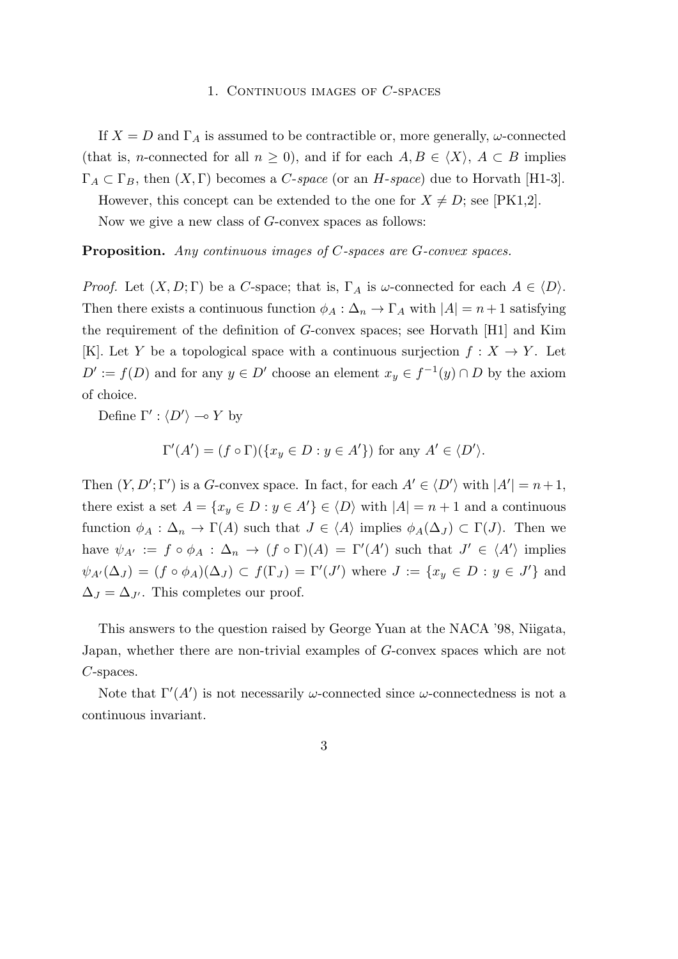#### 1. Continuous images of *C*-spaces

If  $X = D$  and  $\Gamma_A$  is assumed to be contractible or, more generally,  $\omega$ -connected (that is, *n*-connected for all  $n \geq 0$ ), and if for each  $A, B \in \langle X \rangle$ ,  $A \subset B$  implies  $\Gamma_A \subset \Gamma_B$ , then  $(X, \Gamma)$  becomes a *C*-*space* (or an *H*-*space*) due to Horvath [H1-3].

However, this concept can be extended to the one for  $X \neq D$ ; see [PK1,2].

Now we give a new class of *G*-convex spaces as follows:

**Proposition.** *Any continuous images of C-spaces are G-convex spaces.*

*Proof.* Let  $(X, D; \Gamma)$  be a *C*-space; that is,  $\Gamma_A$  is *ω*-connected for each  $A \in \langle D \rangle$ . Then there exists a continuous function  $\phi_A : \Delta_n \to \Gamma_A$  with  $|A| = n + 1$  satisfying the requirement of the definition of *G*-convex spaces; see Horvath [H1] and Kim [K]. Let *Y* be a topological space with a continuous surjection  $f: X \to Y$ . Let  $D' := f(D)$  and for any  $y \in D'$  choose an element  $x_y \in f^{-1}(y) \cap D$  by the axiom of choice.

Define  $\Gamma' : \langle D' \rangle \longrightarrow Y$  by

$$
\Gamma'(A') = (f \circ \Gamma)(\{x_y \in D : y \in A'\}) \text{ for any } A' \in \langle D' \rangle.
$$

Then  $(Y, D'; \Gamma')$  is a *G*-convex space. In fact, for each  $A' \in \langle D' \rangle$  with  $|A'| = n+1$ , there exist a set  $A = \{x_y \in D : y \in A'\} \in \langle D \rangle$  with  $|A| = n + 1$  and a continuous function  $\phi_A : \Delta_n \to \Gamma(A)$  such that  $J \in \langle A \rangle$  implies  $\phi_A(\Delta_J) \subset \Gamma(J)$ . Then we have  $\psi_{A'} := f \circ \phi_A : \Delta_n \to (f \circ \Gamma)(A) = \Gamma'(A')$  such that  $J' \in \langle A' \rangle$  implies  $\psi_{A'}(\Delta_J) = (f \circ \phi_A)(\Delta_J) \subset f(\Gamma_J) = \Gamma'(J')$  where  $J := \{x_y \in D : y \in J'\}$  and  $\Delta_J = \Delta_{J'}$ . This completes our proof.

This answers to the question raised by George Yuan at the NACA '98, Niigata, Japan, whether there are non-trivial examples of *G*-convex spaces which are not *C*-spaces.

Note that  $\Gamma'(A')$  is not necessarily *ω*-connected since *ω*-connectedness is not a continuous invariant.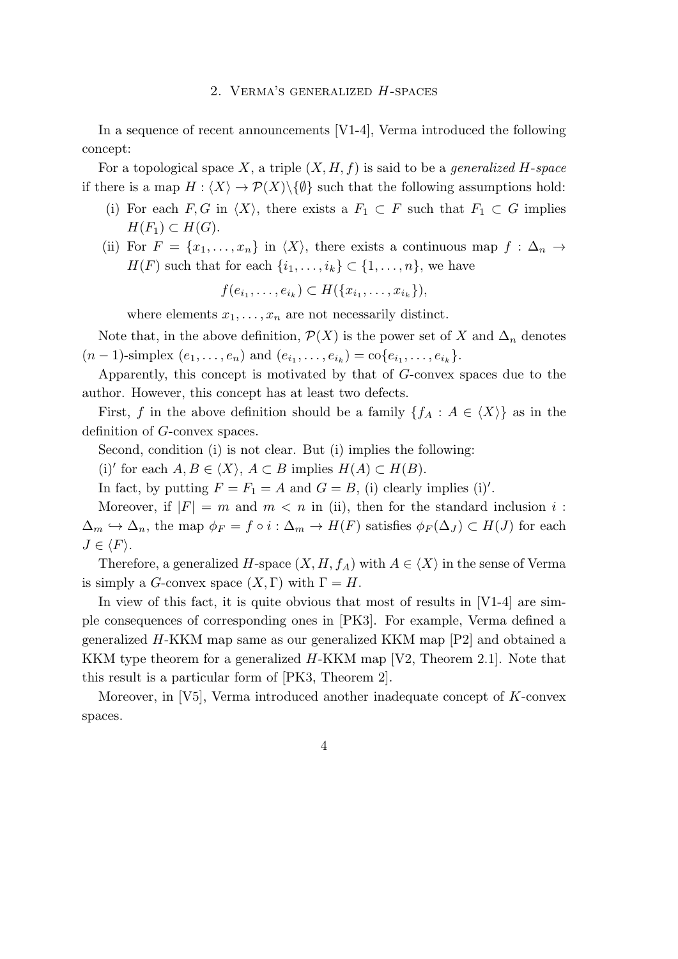#### 2. Verma's generalized *H*-spaces

In a sequence of recent announcements [V1-4], Verma introduced the following concept:

For a topological space *X*, a triple (*X, H, f*) is said to be a *generalized H*-*space* if there is a map  $H : \langle X \rangle \to \mathcal{P}(X) \backslash \{\emptyset\}$  such that the following assumptions hold:

- (i) For each  $F, G$  in  $\langle X \rangle$ , there exists a  $F_1 \subset F$  such that  $F_1 \subset G$  implies *H*( $F_1$ ) ⊂ *H*( $G$ ).
- (ii) For  $F = \{x_1, \ldots, x_n\}$  in  $\langle X \rangle$ , there exists a continuous map  $f : \Delta_n \to$ *H*(*F*) such that for each  $\{i_1, \ldots, i_k\} \subset \{1, \ldots, n\}$ , we have

$$
f(e_{i_1},\ldots,e_{i_k}) \subset H(\{x_{i_1},\ldots,x_{i_k}\}),
$$

where elements  $x_1, \ldots, x_n$  are not necessarily distinct.

Note that, in the above definition,  $\mathcal{P}(X)$  is the power set of X and  $\Delta_n$  denotes  $(n-1)$ -simplex  $(e_1, \ldots, e_n)$  and  $(e_{i_1}, \ldots, e_{i_k}) = \text{co}\{e_{i_1}, \ldots, e_{i_k}\}.$ 

Apparently, this concept is motivated by that of *G*-convex spaces due to the author. However, this concept has at least two defects.

First, *f* in the above definition should be a family  ${f_A : A \in \langle X \rangle}$  as in the definition of *G*-convex spaces.

Second, condition (i) is not clear. But (i) implies the following:

(i)<sup>*'*</sup> for each  $A, B \in \langle X \rangle$ ,  $A \subset B$  implies  $H(A) \subset H(B)$ .

In fact, by putting  $F = F_1 = A$  and  $G = B$ , (i) clearly implies (i)'.

Moreover, if  $|F| = m$  and  $m < n$  in (ii), then for the standard inclusion *i*:  $\Delta_m \hookrightarrow \Delta_n$ , the map  $\phi_F = f \circ i : \Delta_m \to H(F)$  satisfies  $\phi_F(\Delta_J) \subset H(J)$  for each  $J \in \langle F \rangle$ .

Therefore, a generalized *H*-space  $(X, H, f_A)$  with  $A \in \langle X \rangle$  in the sense of Verma is simply a *G*-convex space  $(X, \Gamma)$  with  $\Gamma = H$ .

In view of this fact, it is quite obvious that most of results in  $[V1-4]$  are simple consequences of corresponding ones in [PK3]. For example, Verma defined a generalized *H*-KKM map same as our generalized KKM map [P2] and obtained a KKM type theorem for a generalized *H*-KKM map [V2, Theorem 2.1]. Note that this result is a particular form of [PK3, Theorem 2].

Moreover, in [V5], Verma introduced another inadequate concept of *K*-convex spaces.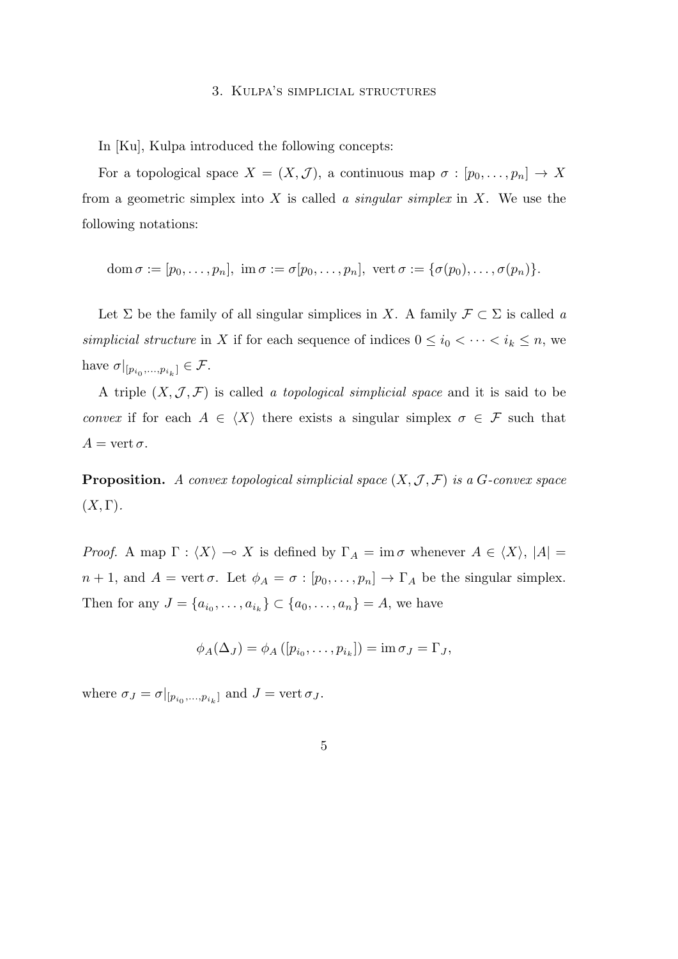#### 3. Kulpa's simplicial structures

In [Ku], Kulpa introduced the following concepts:

For a topological space  $X = (X, \mathcal{J})$ , a continuous map  $\sigma : [p_0, \ldots, p_n] \to X$ from a geometric simplex into *X* is called *a singular simplex* in *X*. We use the following notations:

$$
\operatorname{dom} \sigma := [p_0, \ldots, p_n], \, \, \text{im} \, \sigma := \sigma[p_0, \ldots, p_n], \, \, \text{vert} \, \, \sigma := \{ \sigma(p_0), \ldots, \sigma(p_n) \}.
$$

Let  $\Sigma$  be the family of all singular simplices in *X*. A family  $\mathcal{F} \subset \Sigma$  is called *a simplicial structure* in *X* if for each sequence of indices  $0 \leq i_0 < \cdots < i_k \leq n$ , we have  $\sigma|_{[p_{i_0},...,p_{i_k}]}\in \mathcal{F}$ .

A triple  $(X, \mathcal{J}, \mathcal{F})$  is called *a topological simplicial space* and it is said to be *convex* if for each  $A \in \langle X \rangle$  there exists a singular simplex  $\sigma \in \mathcal{F}$  such that  $A = \text{vert } \sigma.$ 

**Proposition.** *A convex topological simplicial space*  $(X, \mathcal{J}, \mathcal{F})$  *is a G-convex space*  $(X,\Gamma).$ 

*Proof.* A map  $\Gamma$  :  $\langle X \rangle \to X$  is defined by  $\Gamma_A = \text{im } \sigma$  whenever  $A \in \langle X \rangle$ ,  $|A| =$ *n* + 1, and *A* = vert *σ*. Let  $\phi_A = \sigma : [p_0, \ldots, p_n] \to \Gamma_A$  be the singular simplex. Then for any  $J = \{a_{i_0}, \ldots, a_{i_k}\} \subset \{a_0, \ldots, a_n\} = A$ , we have

$$
\phi_A(\Delta_J) = \phi_A([p_{i_0}, \ldots, p_{i_k}]) = \text{im } \sigma_J = \Gamma_J,
$$

where  $\sigma_J = \sigma|_{[p_{i_0},...,p_{i_k}]}$  and  $J = \text{vert } \sigma_J$ .

$$
\overline{5}
$$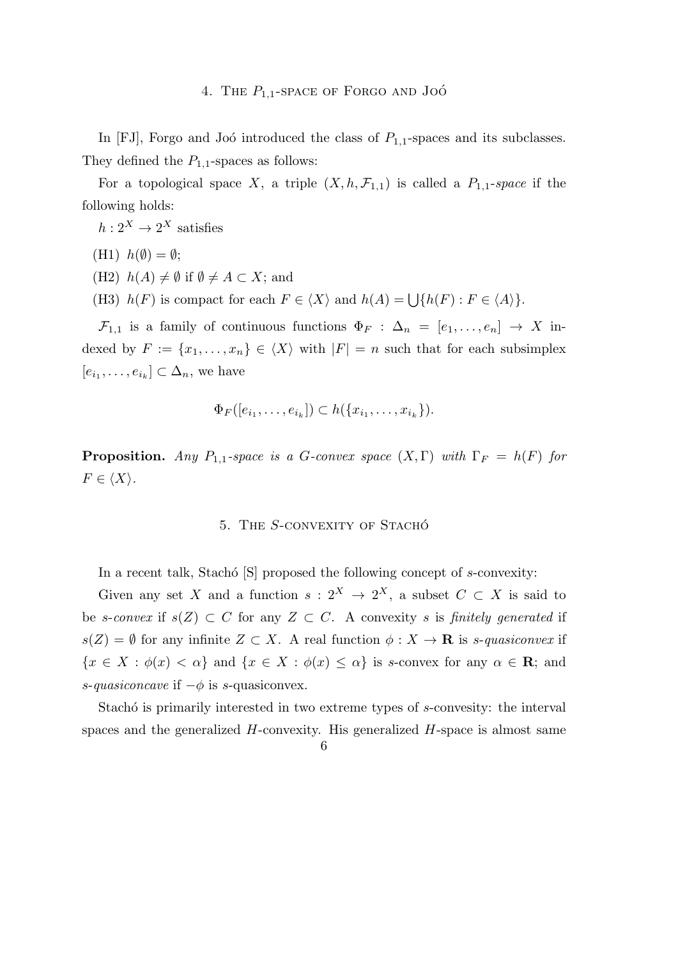In [FJ], Forgo and Joó introduced the class of  $P_{1,1}$ -spaces and its subclasses. They defined the  $P_{1,1}$ -spaces as follows:

For a topological space *X*, a triple  $(X, h, \mathcal{F}_{1,1})$  is called a  $P_{1,1}$ -space if the following holds:

 $h: 2^X \to 2^X$  satisfies

- $(H1)$   $h(\emptyset) = \emptyset$ ;
- $(H2)$  *h*(*A*) ≠ Ø if  $\emptyset$  ≠ *A* ⊂ *X*; and
- (H3)  $h(F)$  is compact for each  $F \in \langle X \rangle$  and  $h(A) = \bigcup \{h(F) : F \in \langle A \rangle\}.$

 $\mathcal{F}_{1,1}$  is a family of continuous functions  $\Phi_F : \Delta_n = [e_1, \ldots, e_n] \rightarrow X$  indexed by  $F := \{x_1, \ldots, x_n\} \in \langle X \rangle$  with  $|F| = n$  such that for each subsimplex  $[e_{i_1}, \ldots, e_{i_k}] \subset \Delta_n$ , we have

$$
\Phi_F([e_{i_1},\ldots,e_{i_k}])\subset h(\lbrace x_{i_1},\ldots,x_{i_k}\rbrace).
$$

**Proposition.** *Any*  $P_{1,1}$ *-space is a G-convex space*  $(X, \Gamma)$  *with*  $\Gamma_F = h(F)$  *for*  $F \in \langle X \rangle$ .

### 5. THE *S*-CONVEXITY OF STACHO<sup> $\acute{o}$ </sup>

In a recent talk, Stachó [S] proposed the following concept of *s*-convexity:

Given any set *X* and a function  $s: 2^X \to 2^X$ , a subset  $C \subset X$  is said to be *s*-*convex* if  $s(Z) \subset C$  for any  $Z \subset C$ . A convexity *s* is *finitely generated* if *s*(*Z*) =  $\emptyset$  for any infinite *Z* ⊂ *X*. A real function  $\phi$  : *X* → **R** is *s*-*quasiconvex* if  ${x \in X : \phi(x) < \alpha}$  and  ${x \in X : \phi(x) \leq \alpha}$  is *s*-convex for any  $\alpha \in \mathbb{R}$ ; and *s*-*quasiconcave* if *−ϕ* is *s*-quasiconvex.

Stachó is primarily interested in two extreme types of *s*-convesity: the interval spaces and the generalized *H*-convexity. His generalized *H*-space is almost same

<sup>6</sup>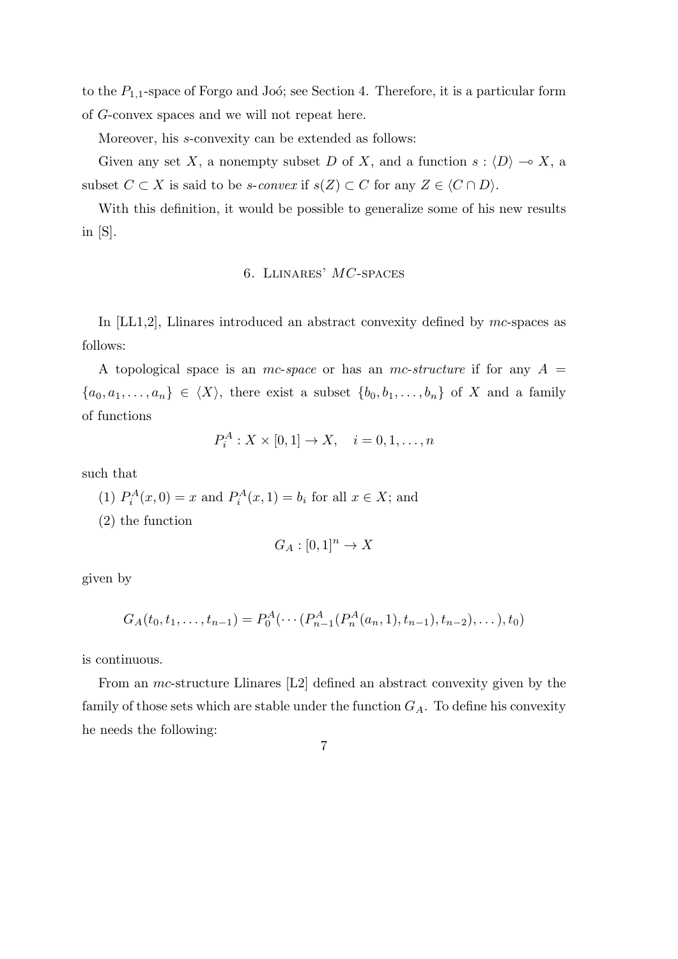to the  $P_{1,1}$ -space of Forgo and Joó; see Section 4. Therefore, it is a particular form of *G*-convex spaces and we will not repeat here.

Moreover, his *s*-convexity can be extended as follows:

Given any set *X*, a nonempty subset *D* of *X*, and a function  $s: \langle D \rangle \longrightarrow X$ , a subset  $C \subset X$  is said to be *s*-*convex* if  $s(Z) \subset C$  for any  $Z \in \langle C \cap D \rangle$ .

With this definition, it would be possible to generalize some of his new results in [S].

# 6. Llinares' *MC*-spaces

In [LL1,2], Llinares introduced an abstract convexity defined by *mc*-spaces as follows:

A topological space is an *mc*-*space* or has an *mc*-*structure* if for any *A* =  ${a_0, a_1, \ldots, a_n} \in \langle X \rangle$ , there exist a subset  ${b_0, b_1, \ldots, b_n}$  of *X* and a family of functions

$$
P_i^A: X \times [0,1] \to X, \quad i = 0,1,\ldots,n
$$

such that

- (1)  $P_i^A(x,0) = x$  and  $P_i^A(x,1) = b_i$  for all  $x \in X$ ; and
- (2) the function

$$
G_A : [0,1]^n \to X
$$

given by

$$
G_A(t_0, t_1, \ldots, t_{n-1}) = P_0^A(\cdots (P_{n-1}^A(P_n^A(a_n, 1), t_{n-1}), t_{n-2}), \ldots), t_0)
$$

is continuous.

From an *mc*-structure Llinares [L2] defined an abstract convexity given by the family of those sets which are stable under the function  $G_A$ . To define his convexity he needs the following:

7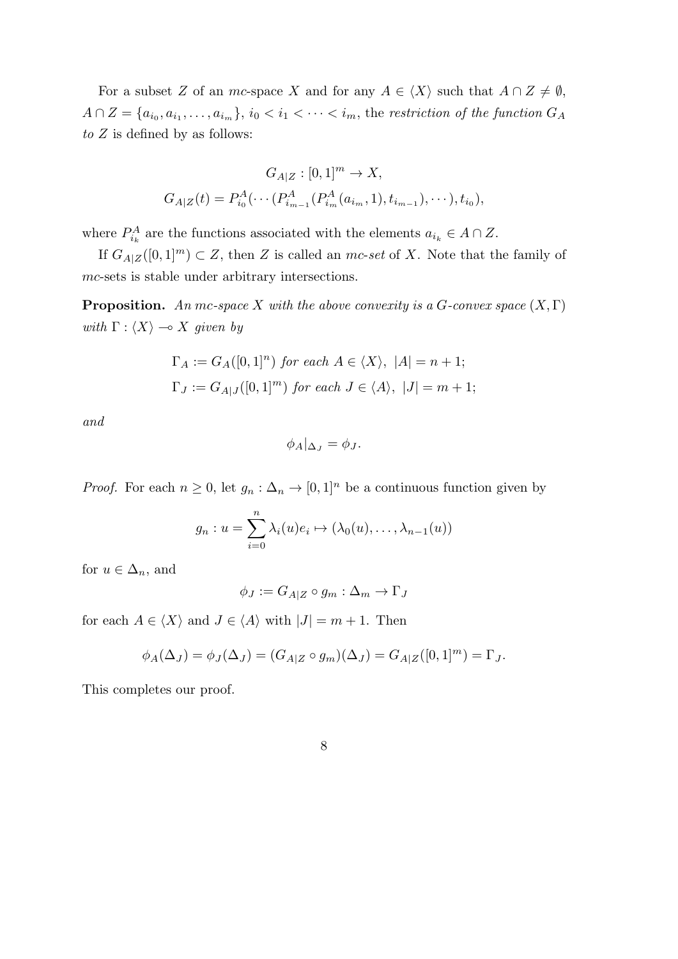For a subset *Z* of an *mc*-space *X* and for any  $A \in \langle X \rangle$  such that  $A \cap Z \neq \emptyset$ ,  $A \cap Z = \{a_{i_0}, a_{i_1}, \ldots, a_{i_m}\}, \, i_0 < i_1 < \cdots < i_m$ , the restriction of the function  $G_A$ *to Z* is defined by as follows:

$$
G_{A|Z}: [0,1]^m \to X,
$$
  

$$
G_{A|Z}(t) = P_{i_0}^A(\cdots (P_{i_{m-1}}^A(P_{i_m}^A(a_{i_m}, 1), t_{i_{m-1}}), \cdots), t_{i_0}),
$$

where  $P_{i_k}^A$  are the functions associated with the elements  $a_{i_k} \in A \cap Z$ .

If  $G_{A|Z}([0,1]^m)$  ⊂ *Z*, then *Z* is called an *mc-set* of *X*. Note that the family of *mc*-sets is stable under arbitrary intersections.

**Proposition.** An mc-space *X* with the above convexity is a *G*-convex space  $(X, \Gamma)$ *with*  $\Gamma$  :  $\langle X \rangle \rightarrow X$  *given by* 

$$
\Gamma_A := G_A([0,1]^n) \text{ for each } A \in \langle X \rangle, |A| = n+1;
$$
  
\n
$$
\Gamma_J := G_{A|J}([0,1]^m) \text{ for each } J \in \langle A \rangle, |J| = m+1;
$$

*and*

$$
\phi_A|_{\Delta_J} = \phi_J.
$$

*Proof.* For each  $n \geq 0$ , let  $g_n : \Delta_n \to [0,1]^n$  be a continuous function given by

$$
g_n: u = \sum_{i=0}^n \lambda_i(u)e_i \mapsto (\lambda_0(u), \dots, \lambda_{n-1}(u))
$$

for  $u \in \Delta_n$ , and

$$
\phi_J := G_{A|Z} \circ g_m : \Delta_m \to \Gamma_J
$$

for each  $A \in \langle X \rangle$  and  $J \in \langle A \rangle$  with  $|J| = m + 1$ . Then

$$
\phi_A(\Delta_J) = \phi_J(\Delta_J) = (G_{A|Z} \circ g_m)(\Delta_J) = G_{A|Z}([0,1]^m) = \Gamma_J.
$$

This completes our proof.

8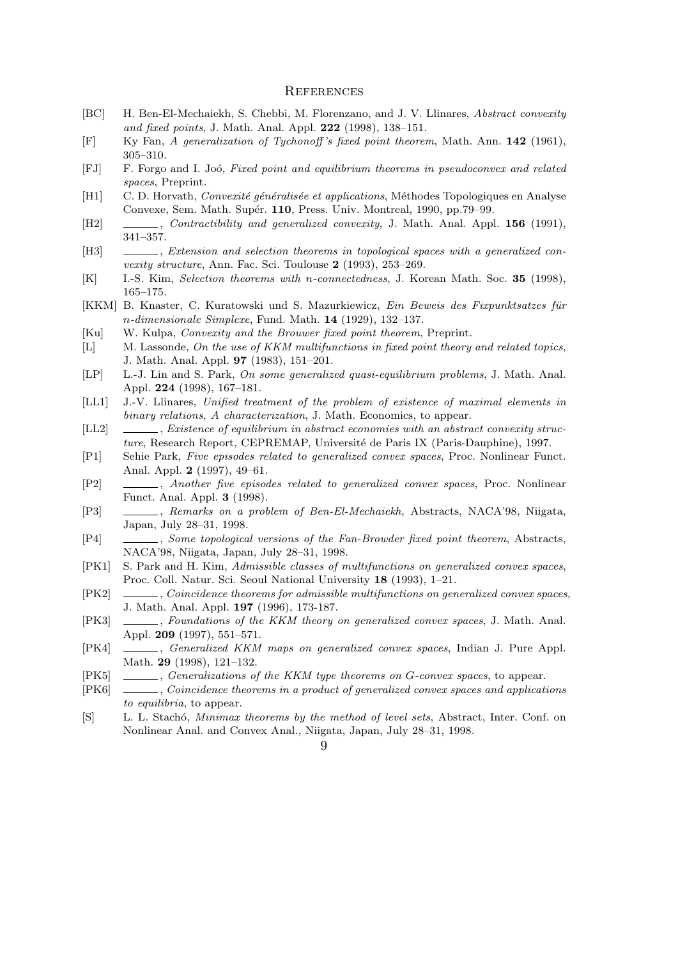#### **REFERENCES**

- [BC] H. Ben-El-Mechaiekh, S. Chebbi, M. Florenzano, and J. V. Llinares, *Abstract convexity and fixed points*, J. Math. Anal. Appl. **222** (1998), 138–151.
- [F] Ky Fan, *A generalization of Tychonoff 's fixed point theorem*, Math. Ann. **142** (1961), 305–310.
- [FJ] F. Forgo and I. Jo´o, *Fixed point and equilibrium theorems in pseudoconvex and related spaces*, Preprint.
- [H1] C. D. Horvath, *Convexité généralisée et applications*, Méthodes Topologiques en Analyse Convexe, Sem. Math. Supér. **110**, Press. Univ. Montreal, 1990, pp.79–99.
- [H2] , *Contractibility and generalized convexity*, J. Math. Anal. Appl. **156** (1991), 341–357.
- [H3] , *Extension and selection theorems in topological spaces with a generalized convexity structure*, Ann. Fac. Sci. Toulouse **2** (1993), 253–269.
- [K] I.-S. Kim, *Selection theorems with n-connectedness*, J. Korean Math. Soc. **35** (1998), 165–175.
- [KKM] B. Knaster, C. Kuratowski und S. Mazurkiewicz, *Ein Beweis des Fixpunktsatzes für n-dimensionale Simplexe*, Fund. Math. **14** (1929), 132–137.
- [Ku] W. Kulpa, *Convexity and the Brouwer fixed point theorem*, Preprint.
- [L] M. Lassonde, *On the use of KKM multifunctions in fixed point theory and related topics*, J. Math. Anal. Appl. **97** (1983), 151–201.
- [LP] L.-J. Lin and S. Park, *On some generalized quasi-equilibrium problems*, J. Math. Anal. Appl. **224** (1998), 167–181.
- [LL1] J.-V. Llinares, *Unified treatment of the problem of existence of maximal elements in binary relations, A characterization*, J. Math. Economics, to appear.
- [LL2]  $\quad \underline{\qquad}$ , *Existence of equilibrium in abstract economies with an abstract convexity structure*, Research Report, CEPREMAP, Université de Paris IX (Paris-Dauphine), 1997.
- [P1] Sehie Park, *Five episodes related to generalized convex spaces*, Proc. Nonlinear Funct. Anal. Appl. **2** (1997), 49–61.
- [P2] , *Another five episodes related to generalized convex spaces*, Proc. Nonlinear Funct. Anal. Appl. **3** (1998).
- [P3] , *Remarks on a problem of Ben-El-Mechaiekh*, Abstracts, NACA'98, Niigata, Japan, July 28–31, 1998.
- [P4] , *Some topological versions of the Fan-Browder fixed point theorem*, Abstracts, NACA'98, Niigata, Japan, July 28–31, 1998.
- [PK1] S. Park and H. Kim, *Admissible classes of multifunctions on generalized convex spaces*, Proc. Coll. Natur. Sci. Seoul National University **18** (1993), 1–21.
- [PK2] , *Coincidence theorems for admissible multifunctions on generalized convex spaces*, J. Math. Anal. Appl. **197** (1996), 173-187.
- [PK3] , *Foundations of the KKM theory on generalized convex spaces*, J. Math. Anal. Appl. **209** (1997), 551–571.
- [PK4] , *Generalized KKM maps on generalized convex spaces*, Indian J. Pure Appl. Math. **29** (1998), 121–132.
- [PK5] , *Generalizations of the KKM type theorems on G-convex spaces*, to appear.
- [PK6] , *Coincidence theorems in a product of generalized convex spaces and applications to equilibria*, to appear.
- [S] L. L. Stach´o, *Minimax theorems by the method of level sets*, Abstract, Inter. Conf. on Nonlinear Anal. and Convex Anal., Niigata, Japan, July 28–31, 1998.
	- $\Omega$